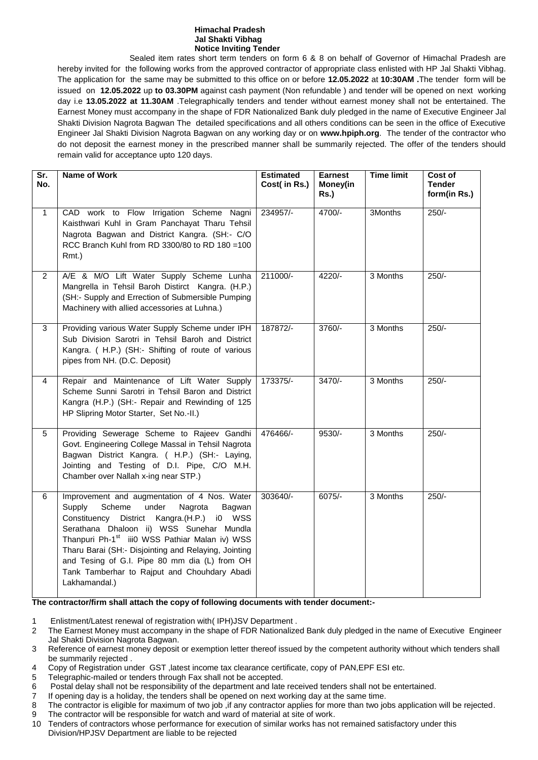## **Himachal Pradesh Jal Shakti Vibhag Notice Inviting Tender**

Sealed item rates short term tenders on form 6 & 8 on behalf of Governor of Himachal Pradesh are hereby invited for the following works from the approved contractor of appropriate class enlisted with HP Jal Shakti Vibhag. The application for the same may be submitted to this office on or before **12.05.2022** at **10:30AM .**The tender form will be issued on **12.05.2022** up **to 03.30PM** against cash payment (Non refundable ) and tender will be opened on next working day i.e **13.05.2022 at 11.30AM** .Telegraphically tenders and tender without earnest money shall not be entertained. The Earnest Money must accompany in the shape of FDR Nationalized Bank duly pledged in the name of Executive Engineer Jal Shakti Division Nagrota Bagwan The detailed specifications and all others conditions can be seen in the office of Executive Engineer Jal Shakti Division Nagrota Bagwan on any working day or on **www.hpiph.org**. The tender of the contractor who do not deposit the earnest money in the prescribed manner shall be summarily rejected. The offer of the tenders should remain valid for acceptance upto 120 days.

| $\overline{\text{Sr.}}$<br>No. | <b>Name of Work</b>                                                                                                                                                                                                                                                                                                                                                                                                                 | <b>Estimated</b><br>Cost( in Rs.) | <b>Earnest</b><br>Money(in<br><b>Rs.)</b> | <b>Time limit</b> | Cost of<br><b>Tender</b><br>form(in Rs.) |
|--------------------------------|-------------------------------------------------------------------------------------------------------------------------------------------------------------------------------------------------------------------------------------------------------------------------------------------------------------------------------------------------------------------------------------------------------------------------------------|-----------------------------------|-------------------------------------------|-------------------|------------------------------------------|
| $\mathbf{1}$                   | CAD work to Flow Irrigation Scheme Nagni<br>Kaisthwari Kuhl in Gram Panchayat Tharu Tehsil<br>Nagrota Bagwan and District Kangra. (SH:- C/O<br>RCC Branch Kuhl from RD 3300/80 to RD 180 = 100<br>Rmt.)                                                                                                                                                                                                                             | 234957/-                          | 4700/-                                    | 3Months           | $250/-$                                  |
| $\overline{2}$                 | A/E & M/O Lift Water Supply Scheme Lunha<br>Mangrella in Tehsil Baroh Distirct Kangra. (H.P.)<br>(SH:- Supply and Errection of Submersible Pumping<br>Machinery with allied accessories at Luhna.)                                                                                                                                                                                                                                  | 211000/-                          | 4220/-                                    | 3 Months          | $250/-$                                  |
| 3                              | Providing various Water Supply Scheme under IPH<br>Sub Division Sarotri in Tehsil Baroh and District<br>Kangra. ( H.P.) (SH:- Shifting of route of various<br>pipes from NH. (D.C. Deposit)                                                                                                                                                                                                                                         | 187872/-                          | 3760/-                                    | 3 Months          | $250/-$                                  |
| $\overline{4}$                 | Repair and Maintenance of Lift Water Supply<br>Scheme Sunni Sarotri in Tehsil Baron and District<br>Kangra (H.P.) (SH:- Repair and Rewinding of 125<br>HP Slipring Motor Starter, Set No.-II.)                                                                                                                                                                                                                                      | 173375/-                          | $3470/-$                                  | 3 Months          | $250/-$                                  |
| 5                              | Providing Sewerage Scheme to Rajeev Gandhi<br>Govt. Engineering College Massal in Tehsil Nagrota<br>Bagwan District Kangra. ( H.P.) (SH:- Laying,<br>Jointing and Testing of D.I. Pipe, C/O M.H.<br>Chamber over Nallah x-ing near STP.)                                                                                                                                                                                            | 476466/-                          | $9530/-$                                  | 3 Months          | $250/-$                                  |
| 6                              | Improvement and augmentation of 4 Nos. Water<br>Scheme<br>under<br>Supply<br>Nagrota<br>Bagwan<br>Constituency District Kangra.(H.P.)<br>i0 WSS<br>Serathana Dhaloon ii) WSS Sunehar Mundla<br>Thanpuri Ph-1 <sup>st</sup> iii0 WSS Pathiar Malan iv) WSS<br>Tharu Barai (SH:- Disjointing and Relaying, Jointing<br>and Tesing of G.I. Pipe 80 mm dia (L) from OH<br>Tank Tamberhar to Rajput and Chouhdary Abadi<br>Lakhamandal.) | 303640/-                          | $6075/-$                                  | 3 Months          | $250/-$                                  |

## **The contractor/firm shall attach the copy of following documents with tender document:-**

- 1 Enlistment/Latest renewal of registration with( IPH)JSV Department .
- 2 The Earnest Money must accompany in the shape of FDR Nationalized Bank duly pledged in the name of Executive Engineer Jal Shakti Division Nagrota Bagwan.
- 3 Reference of earnest money deposit or exemption letter thereof issued by the competent authority without which tenders shall be summarily rejected .
- 4 Copy of Registration under GST ,latest income tax clearance certificate, copy of PAN,EPF ESI etc.
- 5 Telegraphic-mailed or tenders through Fax shall not be accepted.
- 6 Postal delay shall not be responsibility of the department and late received tenders shall not be entertained.
- 7 If opening day is a holiday, the tenders shall be opened on next working day at the same time.
- 8 The contractor is eligible for maximum of two job ,if any contractor applies for more than two jobs application will be rejected.
- 9 The contractor will be responsible for watch and ward of material at site of work.
- 10 Tenders of contractors whose performance for execution of similar works has not remained satisfactory under this Division/HPJSV Department are liable to be rejected